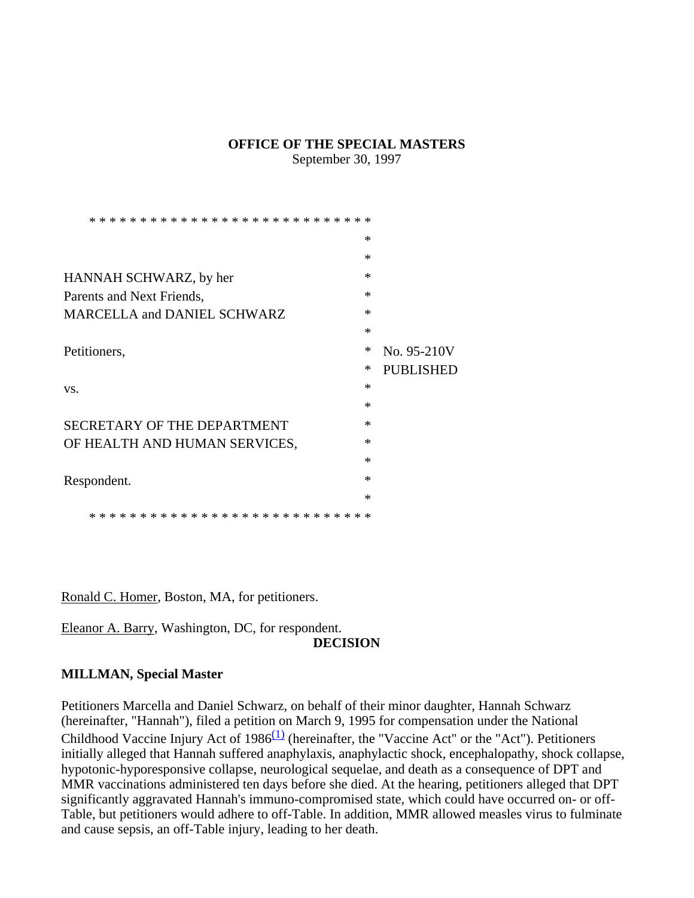#### **OFFICE OF THE SPECIAL MASTERS**

September 30, 1997

|                                            | ∗      |                  |
|--------------------------------------------|--------|------------------|
|                                            | ∗      |                  |
| HANNAH SCHWARZ, by her                     | $\ast$ |                  |
| Parents and Next Friends,                  | $\ast$ |                  |
| <b>MARCELLA and DANIEL SCHWARZ</b>         | ∗      |                  |
|                                            | ∗      |                  |
| Petitioners,                               | $\ast$ | No. 95-210V      |
|                                            | ∗      | <b>PUBLISHED</b> |
| VS.                                        | $\ast$ |                  |
|                                            | $\ast$ |                  |
| SECRETARY OF THE DEPARTMENT                | $\ast$ |                  |
| OF HEALTH AND HUMAN SERVICES,              | $\ast$ |                  |
|                                            | ∗      |                  |
| Respondent.                                | $\ast$ |                  |
|                                            | $\ast$ |                  |
| * * * * * * * * * * * * * *<br>* * * * * * |        |                  |

Ronald C. Homer, Boston, MA, for petitioners.

Eleanor A. Barry, Washington, DC, for respondent.

### **DECISION**

# **MILLMAN, Special Master**

Petitioners Marcella and Daniel Schwarz, on behalf of their minor daughter, Hannah Schwarz (hereinafter, "Hannah"), filed a petition on March 9, 1995 for compensation under the National Childhood Vaccine Injury Act of  $1986<sup>(1)</sup>$  (hereinafter, the "Vaccine Act" or the "Act"). Petitioners initially alleged that Hannah suffered anaphylaxis, anaphylactic shock, encephalopathy, shock collapse, hypotonic-hyporesponsive collapse, neurological sequelae, and death as a consequence of DPT and MMR vaccinations administered ten days before she died. At the hearing, petitioners alleged that DPT significantly aggravated Hannah's immuno-compromised state, which could have occurred on- or off-Table, but petitioners would adhere to off-Table. In addition, MMR allowed measles virus to fulminate and cause sepsis, an off-Table injury, leading to her death.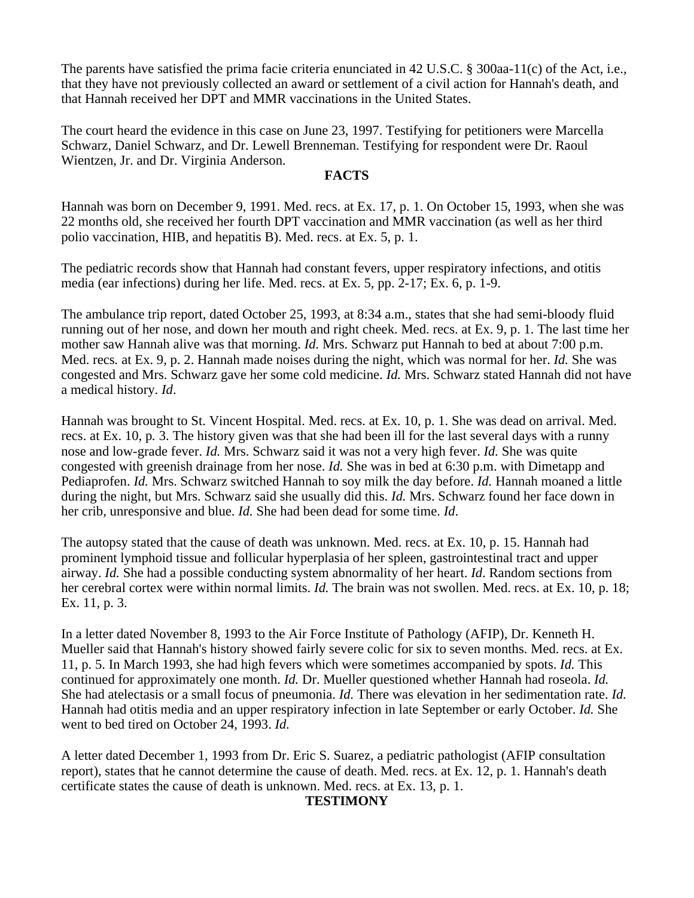The parents have satisfied the prima facie criteria enunciated in 42 U.S.C. § 300aa-11(c) of the Act, i.e., that they have not previously collected an award or settlement of a civil action for Hannah's death, and that Hannah received her DPT and MMR vaccinations in the United States.

The court heard the evidence in this case on June 23, 1997. Testifying for petitioners were Marcella Schwarz, Daniel Schwarz, and Dr. Lewell Brenneman. Testifying for respondent were Dr. Raoul Wientzen, Jr. and Dr. Virginia Anderson.

### **FACTS**

Hannah was born on December 9, 1991. Med. recs. at Ex. 17, p. 1. On October 15, 1993, when she was 22 months old, she received her fourth DPT vaccination and MMR vaccination (as well as her third polio vaccination, HIB, and hepatitis B). Med. recs. at Ex. 5, p. 1.

The pediatric records show that Hannah had constant fevers, upper respiratory infections, and otitis media (ear infections) during her life. Med. recs. at Ex. 5, pp. 2-17; Ex. 6, p. 1-9.

The ambulance trip report, dated October 25, 1993, at 8:34 a.m., states that she had semi-bloody fluid running out of her nose, and down her mouth and right cheek. Med. recs. at Ex. 9, p. 1. The last time her mother saw Hannah alive was that morning. *Id.* Mrs. Schwarz put Hannah to bed at about 7:00 p.m. Med. recs*.* at Ex. 9, p. 2. Hannah made noises during the night, which was normal for her. *Id.* She was congested and Mrs. Schwarz gave her some cold medicine. *Id.* Mrs. Schwarz stated Hannah did not have a medical history. *Id*.

Hannah was brought to St. Vincent Hospital. Med. recs. at Ex. 10, p. 1. She was dead on arrival. Med. recs. at Ex. 10, p*.* 3. The history given was that she had been ill for the last several days with a runny nose and low-grade fever. *Id.* Mrs. Schwarz said it was not a very high fever. *Id.* She was quite congested with greenish drainage from her nose. *Id.* She was in bed at 6:30 p.m. with Dimetapp and Pediaprofen. *Id.* Mrs. Schwarz switched Hannah to soy milk the day before. *Id.* Hannah moaned a little during the night, but Mrs. Schwarz said she usually did this. *Id.* Mrs. Schwarz found her face down in her crib, unresponsive and blue. *Id.* She had been dead for some time. *Id*.

The autopsy stated that the cause of death was unknown. Med. recs. at Ex. 10, p. 15. Hannah had prominent lymphoid tissue and follicular hyperplasia of her spleen, gastrointestinal tract and upper airway. *Id.* She had a possible conducting system abnormality of her heart. *Id*. Random sections from her cerebral cortex were within normal limits. *Id*. The brain was not swollen. Med. recs. at Ex. 10, p. 18; Ex. 11, p. 3.

In a letter dated November 8, 1993 to the Air Force Institute of Pathology (AFIP), Dr. Kenneth H. Mueller said that Hannah's history showed fairly severe colic for six to seven months. Med. recs. at Ex. 11, p. 5. In March 1993, she had high fevers which were sometimes accompanied by spots. *Id.* This continued for approximately one month. *Id.* Dr. Mueller questioned whether Hannah had roseola. *Id.*  She had atelectasis or a small focus of pneumonia. *Id.* There was elevation in her sedimentation rate. *Id.*  Hannah had otitis media and an upper respiratory infection in late September or early October. *Id.* She went to bed tired on October 24, 1993. *Id.*

A letter dated December 1, 1993 from Dr. Eric S. Suarez, a pediatric pathologist (AFIP consultation report), states that he cannot determine the cause of death. Med. recs. at Ex. 12, p. 1. Hannah's death certificate states the cause of death is unknown. Med. recs. at Ex. 13, p. 1.

#### **TESTIMONY**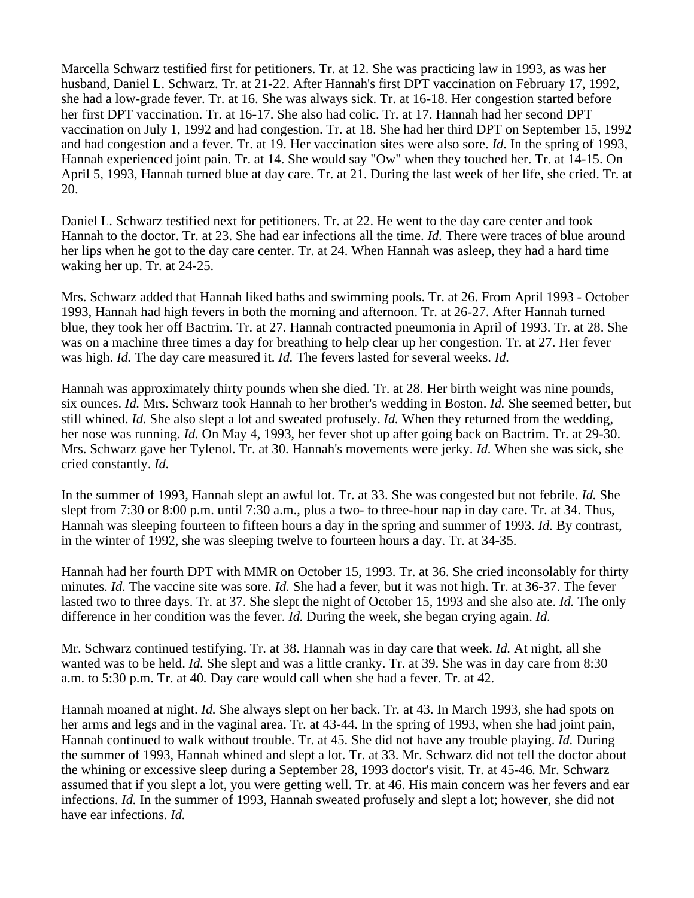Marcella Schwarz testified first for petitioners. Tr. at 12. She was practicing law in 1993, as was her husband, Daniel L. Schwarz. Tr. at 21-22. After Hannah's first DPT vaccination on February 17, 1992, she had a low-grade fever. Tr. at 16. She was always sick. Tr. at 16-18. Her congestion started before her first DPT vaccination. Tr. at 16-17. She also had colic. Tr. at 17. Hannah had her second DPT vaccination on July 1, 1992 and had congestion. Tr. at 18. She had her third DPT on September 15, 1992 and had congestion and a fever. Tr. at 19. Her vaccination sites were also sore. *Id*. In the spring of 1993, Hannah experienced joint pain. Tr. at 14. She would say "Ow" when they touched her. Tr. at 14-15. On April 5, 1993, Hannah turned blue at day care. Tr. at 21. During the last week of her life, she cried. Tr. at 20.

Daniel L. Schwarz testified next for petitioners. Tr. at 22. He went to the day care center and took Hannah to the doctor. Tr. at 23. She had ear infections all the time. *Id.* There were traces of blue around her lips when he got to the day care center. Tr. at 24. When Hannah was asleep, they had a hard time waking her up. Tr. at 24-25.

Mrs. Schwarz added that Hannah liked baths and swimming pools. Tr. at 26. From April 1993 - October 1993, Hannah had high fevers in both the morning and afternoon. Tr. at 26-27. After Hannah turned blue, they took her off Bactrim. Tr. at 27. Hannah contracted pneumonia in April of 1993. Tr. at 28. She was on a machine three times a day for breathing to help clear up her congestion. Tr. at 27. Her fever was high. *Id.* The day care measured it. *Id.* The fevers lasted for several weeks. *Id.*

Hannah was approximately thirty pounds when she died. Tr. at 28. Her birth weight was nine pounds, six ounces. *Id.* Mrs. Schwarz took Hannah to her brother's wedding in Boston. *Id.* She seemed better, but still whined. *Id.* She also slept a lot and sweated profusely. *Id.* When they returned from the wedding, her nose was running. *Id.* On May 4, 1993, her fever shot up after going back on Bactrim. Tr. at 29-30. Mrs. Schwarz gave her Tylenol. Tr. at 30. Hannah's movements were jerky. *Id.* When she was sick, she cried constantly. *Id.*

In the summer of 1993, Hannah slept an awful lot. Tr. at 33. She was congested but not febrile. *Id.* She slept from 7:30 or 8:00 p.m. until 7:30 a.m., plus a two- to three-hour nap in day care. Tr. at 34. Thus, Hannah was sleeping fourteen to fifteen hours a day in the spring and summer of 1993. *Id.* By contrast, in the winter of 1992, she was sleeping twelve to fourteen hours a day. Tr. at 34-35.

Hannah had her fourth DPT with MMR on October 15, 1993. Tr. at 36. She cried inconsolably for thirty minutes. *Id.* The vaccine site was sore. *Id.* She had a fever, but it was not high. Tr. at 36-37. The fever lasted two to three days. Tr. at 37. She slept the night of October 15, 1993 and she also ate. *Id.* The only difference in her condition was the fever. *Id.* During the week, she began crying again. *Id.*

Mr. Schwarz continued testifying. Tr. at 38. Hannah was in day care that week. *Id.* At night, all she wanted was to be held. *Id.* She slept and was a little cranky. Tr. at 39. She was in day care from 8:30 a.m. to 5:30 p.m. Tr. at 40*.* Day care would call when she had a fever. Tr. at 42.

Hannah moaned at night. *Id.* She always slept on her back. Tr*.* at 43. In March 1993, she had spots on her arms and legs and in the vaginal area. Tr. at 43-44. In the spring of 1993, when she had joint pain, Hannah continued to walk without trouble. Tr. at 45. She did not have any trouble playing. *Id.* During the summer of 1993, Hannah whined and slept a lot. Tr. at 33. Mr. Schwarz did not tell the doctor about the whining or excessive sleep during a September 28, 1993 doctor's visit. Tr. at 45-46*.* Mr. Schwarz assumed that if you slept a lot, you were getting well. Tr. at 46. His main concern was her fevers and ear infections. *Id.* In the summer of 1993, Hannah sweated profusely and slept a lot; however, she did not have ear infections. *Id.*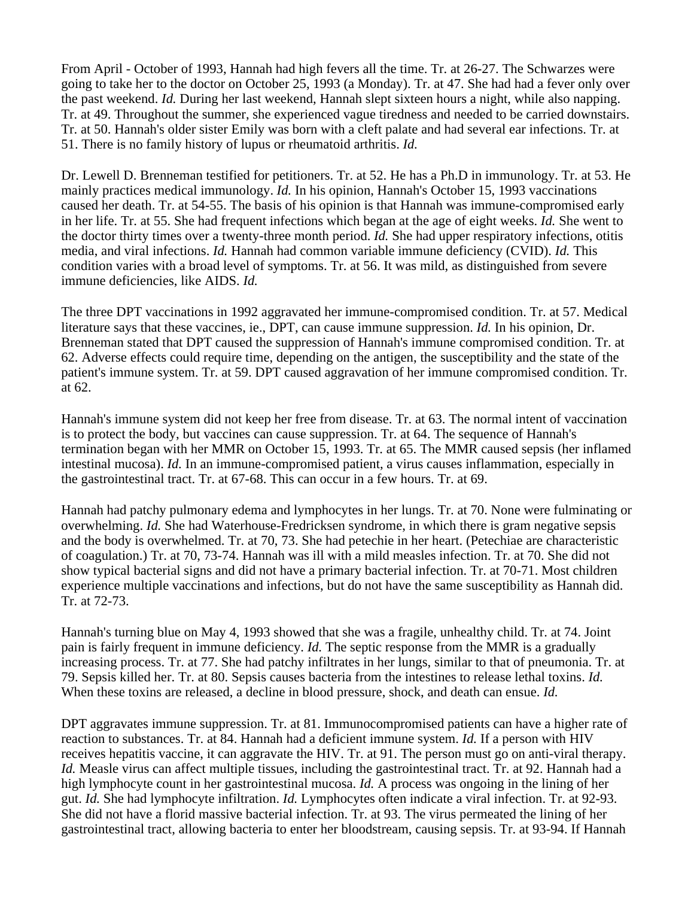From April - October of 1993, Hannah had high fevers all the time. Tr. at 26-27. The Schwarzes were going to take her to the doctor on October 25, 1993 (a Monday). Tr. at 47. She had had a fever only over the past weekend. *Id.* During her last weekend, Hannah slept sixteen hours a night, while also napping. Tr. at 49. Throughout the summer, she experienced vague tiredness and needed to be carried downstairs. Tr. at 50. Hannah's older sister Emily was born with a cleft palate and had several ear infections. Tr. at 51. There is no family history of lupus or rheumatoid arthritis. *Id.*

Dr. Lewell D. Brenneman testified for petitioners. Tr. at 52. He has a Ph.D in immunology. Tr. at 53. He mainly practices medical immunology. *Id.* In his opinion, Hannah's October 15, 1993 vaccinations caused her death. Tr. at 54-55. The basis of his opinion is that Hannah was immune-compromised early in her life. Tr. at 55. She had frequent infections which began at the age of eight weeks. *Id.* She went to the doctor thirty times over a twenty-three month period. *Id.* She had upper respiratory infections, otitis media, and viral infections. *Id.* Hannah had common variable immune deficiency (CVID). *Id.* This condition varies with a broad level of symptoms. Tr. at 56. It was mild, as distinguished from severe immune deficiencies, like AIDS. *Id.*

The three DPT vaccinations in 1992 aggravated her immune-compromised condition. Tr. at 57. Medical literature says that these vaccines, ie., DPT, can cause immune suppression. *Id.* In his opinion, Dr. Brenneman stated that DPT caused the suppression of Hannah's immune compromised condition. Tr. at 62. Adverse effects could require time, depending on the antigen, the susceptibility and the state of the patient's immune system. Tr. at 59. DPT caused aggravation of her immune compromised condition. Tr. at 62.

Hannah's immune system did not keep her free from disease. Tr. at 63. The normal intent of vaccination is to protect the body, but vaccines can cause suppression. Tr. at 64. The sequence of Hannah's termination began with her MMR on October 15, 1993. Tr. at 65. The MMR caused sepsis (her inflamed intestinal mucosa). *Id.* In an immune-compromised patient, a virus causes inflammation, especially in the gastrointestinal tract. Tr. at 67-68. This can occur in a few hours. Tr. at 69.

Hannah had patchy pulmonary edema and lymphocytes in her lungs. Tr. at 70. None were fulminating or overwhelming. *Id.* She had Waterhouse-Fredricksen syndrome, in which there is gram negative sepsis and the body is overwhelmed. Tr. at 70, 73. She had petechie in her heart. (Petechiae are characteristic of coagulation.) Tr. at 70, 73-74. Hannah was ill with a mild measles infection. Tr. at 70. She did not show typical bacterial signs and did not have a primary bacterial infection. Tr. at 70-71. Most children experience multiple vaccinations and infections, but do not have the same susceptibility as Hannah did. Tr. at 72-73.

Hannah's turning blue on May 4, 1993 showed that she was a fragile, unhealthy child. Tr. at 74. Joint pain is fairly frequent in immune deficiency. *Id.* The septic response from the MMR is a gradually increasing process. Tr. at 77. She had patchy infiltrates in her lungs, similar to that of pneumonia. Tr. at 79. Sepsis killed her. Tr. at 80. Sepsis causes bacteria from the intestines to release lethal toxins. *Id.*  When these toxins are released, a decline in blood pressure, shock, and death can ensue. *Id.*

DPT aggravates immune suppression. Tr. at 81. Immunocompromised patients can have a higher rate of reaction to substances. Tr. at 84. Hannah had a deficient immune system. *Id.* If a person with HIV receives hepatitis vaccine, it can aggravate the HIV. Tr. at 91. The person must go on anti-viral therapy. *Id.* Measle virus can affect multiple tissues, including the gastrointestinal tract. Tr. at 92. Hannah had a high lymphocyte count in her gastrointestinal mucosa. *Id.* A process was ongoing in the lining of her gut. *Id.* She had lymphocyte infiltration. *Id.* Lymphocytes often indicate a viral infection. Tr. at 92-93. She did not have a florid massive bacterial infection. Tr. at 93. The virus permeated the lining of her gastrointestinal tract, allowing bacteria to enter her bloodstream, causing sepsis. Tr. at 93-94. If Hannah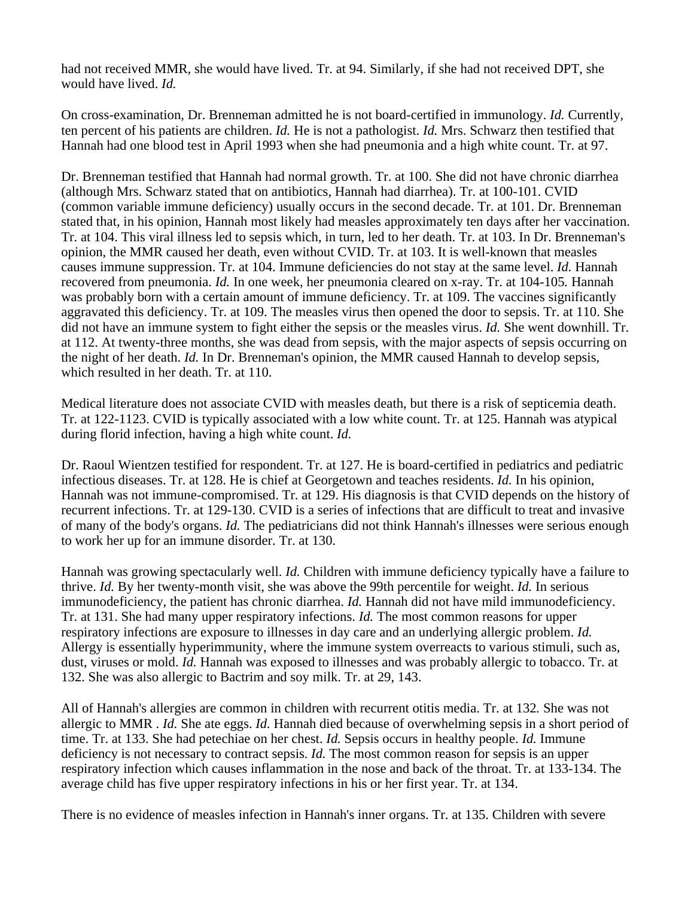had not received MMR, she would have lived. Tr. at 94. Similarly, if she had not received DPT, she would have lived. *Id.*

On cross-examination, Dr. Brenneman admitted he is not board-certified in immunology. *Id.* Currently, ten percent of his patients are children. *Id.* He is not a pathologist. *Id.* Mrs. Schwarz then testified that Hannah had one blood test in April 1993 when she had pneumonia and a high white count. Tr. at 97.

Dr. Brenneman testified that Hannah had normal growth. Tr. at 100. She did not have chronic diarrhea (although Mrs. Schwarz stated that on antibiotics, Hannah had diarrhea). Tr. at 100-101. CVID (common variable immune deficiency) usually occurs in the second decade. Tr. at 101. Dr. Brenneman stated that, in his opinion, Hannah most likely had measles approximately ten days after her vaccination. Tr. at 104. This viral illness led to sepsis which, in turn, led to her death. Tr. at 103. In Dr. Brenneman's opinion, the MMR caused her death, even without CVID. Tr. at 103. It is well-known that measles causes immune suppression. Tr. at 104. Immune deficiencies do not stay at the same level. *Id.* Hannah recovered from pneumonia. *Id.* In one week, her pneumonia cleared on x-ray. Tr. at 104-105*.* Hannah was probably born with a certain amount of immune deficiency. Tr. at 109. The vaccines significantly aggravated this deficiency. Tr. at 109. The measles virus then opened the door to sepsis. Tr. at 110. She did not have an immune system to fight either the sepsis or the measles virus. *Id.* She went downhill. Tr. at 112. At twenty-three months, she was dead from sepsis, with the major aspects of sepsis occurring on the night of her death. *Id.* In Dr. Brenneman's opinion, the MMR caused Hannah to develop sepsis, which resulted in her death. Tr. at 110.

Medical literature does not associate CVID with measles death, but there is a risk of septicemia death. Tr. at 122-1123. CVID is typically associated with a low white count. Tr. at 125. Hannah was atypical during florid infection, having a high white count. *Id.*

Dr. Raoul Wientzen testified for respondent. Tr. at 127. He is board-certified in pediatrics and pediatric infectious diseases. Tr. at 128. He is chief at Georgetown and teaches residents. *Id.* In his opinion, Hannah was not immune-compromised. Tr. at 129. His diagnosis is that CVID depends on the history of recurrent infections. Tr. at 129-130. CVID is a series of infections that are difficult to treat and invasive of many of the body's organs. *Id.* The pediatricians did not think Hannah's illnesses were serious enough to work her up for an immune disorder. Tr. at 130.

Hannah was growing spectacularly well. *Id.* Children with immune deficiency typically have a failure to thrive. *Id.* By her twenty-month visit, she was above the 99th percentile for weight. *Id.* In serious immunodeficiency, the patient has chronic diarrhea. *Id.* Hannah did not have mild immunodeficiency. Tr. at 131. She had many upper respiratory infections. *Id.* The most common reasons for upper respiratory infections are exposure to illnesses in day care and an underlying allergic problem. *Id.*  Allergy is essentially hyperimmunity, where the immune system overreacts to various stimuli, such as, dust, viruses or mold. *Id.* Hannah was exposed to illnesses and was probably allergic to tobacco. Tr. at 132. She was also allergic to Bactrim and soy milk. Tr. at 29, 143.

All of Hannah's allergies are common in children with recurrent otitis media. Tr. at 132*.* She was not allergic to MMR . *Id.* She ate eggs. *Id.* Hannah died because of overwhelming sepsis in a short period of time. Tr. at 133. She had petechiae on her chest. *Id.* Sepsis occurs in healthy people. *Id.* Immune deficiency is not necessary to contract sepsis. *Id.* The most common reason for sepsis is an upper respiratory infection which causes inflammation in the nose and back of the throat. Tr. at 133-134. The average child has five upper respiratory infections in his or her first year. Tr. at 134.

There is no evidence of measles infection in Hannah's inner organs. Tr. at 135. Children with severe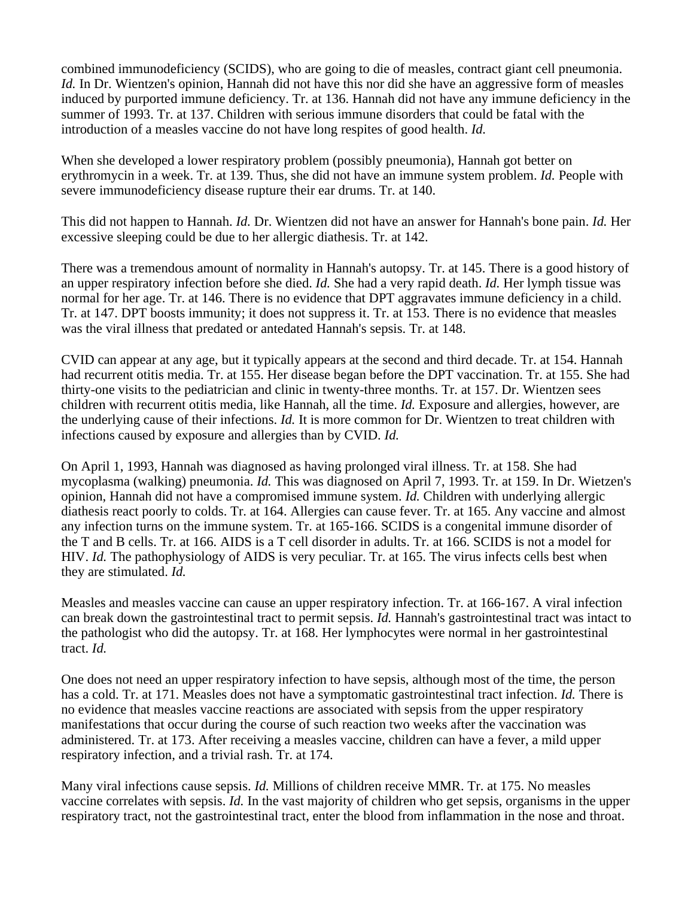combined immunodeficiency (SCIDS), who are going to die of measles, contract giant cell pneumonia. *Id.* In Dr. Wientzen's opinion, Hannah did not have this nor did she have an aggressive form of measles induced by purported immune deficiency. Tr. at 136. Hannah did not have any immune deficiency in the summer of 1993. Tr. at 137. Children with serious immune disorders that could be fatal with the introduction of a measles vaccine do not have long respites of good health. *Id.*

When she developed a lower respiratory problem (possibly pneumonia), Hannah got better on erythromycin in a week. Tr. at 139. Thus, she did not have an immune system problem. *Id.* People with severe immunodeficiency disease rupture their ear drums. Tr. at 140.

This did not happen to Hannah. *Id.* Dr. Wientzen did not have an answer for Hannah's bone pain. *Id.* Her excessive sleeping could be due to her allergic diathesis. Tr. at 142.

There was a tremendous amount of normality in Hannah's autopsy. Tr. at 145. There is a good history of an upper respiratory infection before she died. *Id.* She had a very rapid death. *Id.* Her lymph tissue was normal for her age. Tr. at 146. There is no evidence that DPT aggravates immune deficiency in a child. Tr. at 147. DPT boosts immunity; it does not suppress it. Tr. at 153. There is no evidence that measles was the viral illness that predated or antedated Hannah's sepsis. Tr. at 148.

CVID can appear at any age, but it typically appears at the second and third decade. Tr. at 154. Hannah had recurrent otitis media. Tr. at 155. Her disease began before the DPT vaccination. Tr. at 155. She had thirty-one visits to the pediatrician and clinic in twenty-three months. Tr. at 157. Dr. Wientzen sees children with recurrent otitis media, like Hannah, all the time. *Id.* Exposure and allergies, however, are the underlying cause of their infections. *Id.* It is more common for Dr. Wientzen to treat children with infections caused by exposure and allergies than by CVID. *Id.*

On April 1, 1993, Hannah was diagnosed as having prolonged viral illness. Tr. at 158. She had mycoplasma (walking) pneumonia. *Id.* This was diagnosed on April 7, 1993. Tr. at 159. In Dr. Wietzen's opinion, Hannah did not have a compromised immune system. *Id.* Children with underlying allergic diathesis react poorly to colds. Tr. at 164. Allergies can cause fever. Tr. at 165. Any vaccine and almost any infection turns on the immune system. Tr. at 165-166. SCIDS is a congenital immune disorder of the T and B cells. Tr. at 166. AIDS is a T cell disorder in adults. Tr. at 166. SCIDS is not a model for HIV. *Id.* The pathophysiology of AIDS is very peculiar. Tr. at 165. The virus infects cells best when they are stimulated. *Id.*

Measles and measles vaccine can cause an upper respiratory infection. Tr. at 166-167. A viral infection can break down the gastrointestinal tract to permit sepsis. *Id.* Hannah's gastrointestinal tract was intact to the pathologist who did the autopsy. Tr. at 168. Her lymphocytes were normal in her gastrointestinal tract. *Id.*

One does not need an upper respiratory infection to have sepsis, although most of the time, the person has a cold. Tr. at 171. Measles does not have a symptomatic gastrointestinal tract infection. *Id.* There is no evidence that measles vaccine reactions are associated with sepsis from the upper respiratory manifestations that occur during the course of such reaction two weeks after the vaccination was administered. Tr. at 173. After receiving a measles vaccine, children can have a fever, a mild upper respiratory infection, and a trivial rash. Tr. at 174.

Many viral infections cause sepsis. *Id.* Millions of children receive MMR. Tr. at 175. No measles vaccine correlates with sepsis. *Id.* In the vast majority of children who get sepsis, organisms in the upper respiratory tract, not the gastrointestinal tract, enter the blood from inflammation in the nose and throat.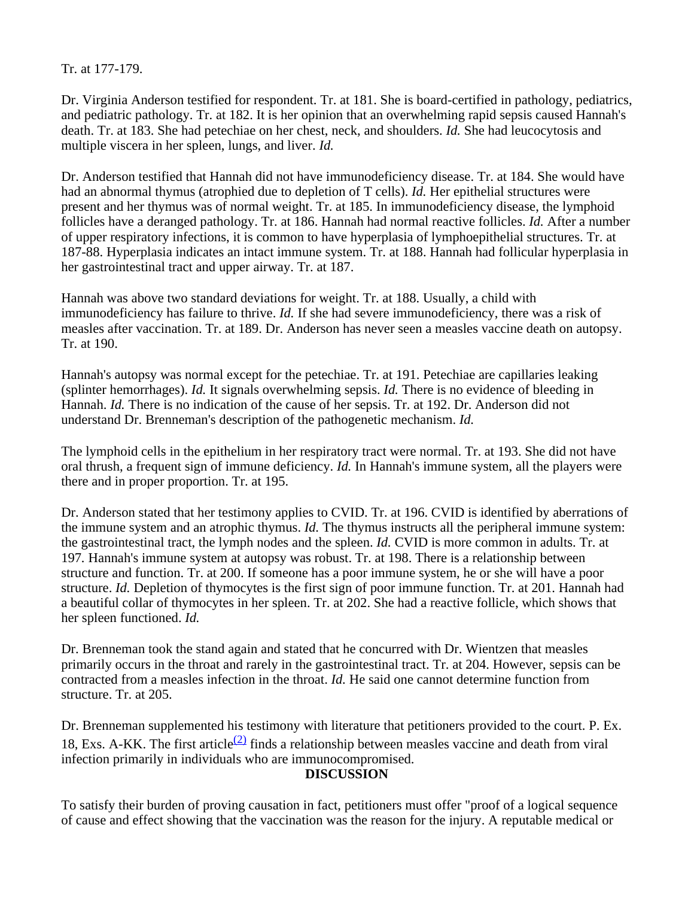Tr. at 177-179.

Dr. Virginia Anderson testified for respondent. Tr. at 181. She is board-certified in pathology, pediatrics, and pediatric pathology. Tr. at 182. It is her opinion that an overwhelming rapid sepsis caused Hannah's death. Tr. at 183. She had petechiae on her chest, neck, and shoulders. *Id.* She had leucocytosis and multiple viscera in her spleen, lungs, and liver. *Id.*

Dr. Anderson testified that Hannah did not have immunodeficiency disease. Tr. at 184. She would have had an abnormal thymus (atrophied due to depletion of T cells). *Id.* Her epithelial structures were present and her thymus was of normal weight. Tr. at 185. In immunodeficiency disease, the lymphoid follicles have a deranged pathology. Tr. at 186. Hannah had normal reactive follicles. *Id.* After a number of upper respiratory infections, it is common to have hyperplasia of lymphoepithelial structures. Tr. at 187-88. Hyperplasia indicates an intact immune system. Tr. at 188. Hannah had follicular hyperplasia in her gastrointestinal tract and upper airway. Tr. at 187.

Hannah was above two standard deviations for weight. Tr. at 188. Usually, a child with immunodeficiency has failure to thrive. *Id.* If she had severe immunodeficiency, there was a risk of measles after vaccination. Tr. at 189. Dr. Anderson has never seen a measles vaccine death on autopsy. Tr. at 190.

Hannah's autopsy was normal except for the petechiae. Tr. at 191. Petechiae are capillaries leaking (splinter hemorrhages). *Id.* It signals overwhelming sepsis. *Id.* There is no evidence of bleeding in Hannah. *Id.* There is no indication of the cause of her sepsis. Tr. at 192. Dr. Anderson did not understand Dr. Brenneman's description of the pathogenetic mechanism. *Id.*

The lymphoid cells in the epithelium in her respiratory tract were normal. Tr. at 193. She did not have oral thrush, a frequent sign of immune deficiency. *Id.* In Hannah's immune system, all the players were there and in proper proportion. Tr. at 195.

Dr. Anderson stated that her testimony applies to CVID. Tr. at 196. CVID is identified by aberrations of the immune system and an atrophic thymus. *Id.* The thymus instructs all the peripheral immune system: the gastrointestinal tract, the lymph nodes and the spleen. *Id.* CVID is more common in adults. Tr. at 197*.* Hannah's immune system at autopsy was robust. Tr. at 198. There is a relationship between structure and function. Tr. at 200. If someone has a poor immune system, he or she will have a poor structure. *Id.* Depletion of thymocytes is the first sign of poor immune function. Tr. at 201. Hannah had a beautiful collar of thymocytes in her spleen. Tr. at 202. She had a reactive follicle, which shows that her spleen functioned. *Id.*

Dr. Brenneman took the stand again and stated that he concurred with Dr. Wientzen that measles primarily occurs in the throat and rarely in the gastrointestinal tract. Tr. at 204. However, sepsis can be contracted from a measles infection in the throat. *Id.* He said one cannot determine function from structure. Tr. at 205.

Dr. Brenneman supplemented his testimony with literature that petitioners provided to the court. P. Ex. 18, Exs. A-KK. The first article<sup>(2)</sup> finds a relationship between measles vaccine and death from viral infection primarily in individuals who are immunocompromised.

# **DISCUSSION**

To satisfy their burden of proving causation in fact, petitioners must offer "proof of a logical sequence of cause and effect showing that the vaccination was the reason for the injury. A reputable medical or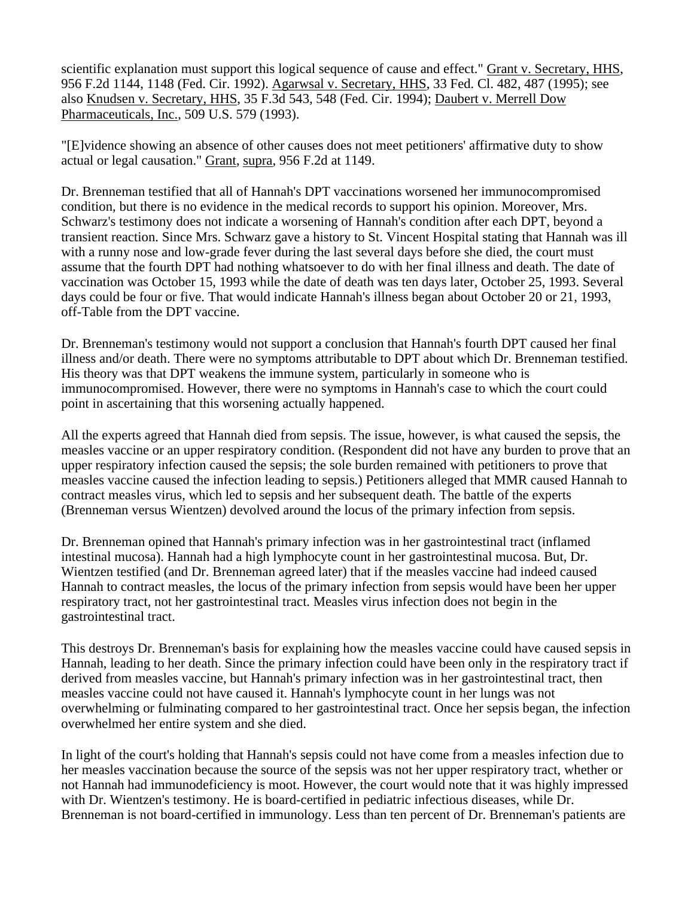scientific explanation must support this logical sequence of cause and effect." Grant v. Secretary, HHS, 956 F.2d 1144, 1148 (Fed. Cir. 1992). Agarwsal v. Secretary, HHS, 33 Fed. Cl. 482, 487 (1995); see also Knudsen v. Secretary, HHS, 35 F.3d 543, 548 (Fed. Cir. 1994); Daubert v. Merrell Dow Pharmaceuticals, Inc., 509 U.S. 579 (1993).

"[E]vidence showing an absence of other causes does not meet petitioners' affirmative duty to show actual or legal causation." Grant, supra, 956 F.2d at 1149.

Dr. Brenneman testified that all of Hannah's DPT vaccinations worsened her immunocompromised condition, but there is no evidence in the medical records to support his opinion. Moreover, Mrs. Schwarz's testimony does not indicate a worsening of Hannah's condition after each DPT, beyond a transient reaction. Since Mrs. Schwarz gave a history to St. Vincent Hospital stating that Hannah was ill with a runny nose and low-grade fever during the last several days before she died, the court must assume that the fourth DPT had nothing whatsoever to do with her final illness and death. The date of vaccination was October 15, 1993 while the date of death was ten days later, October 25, 1993. Several days could be four or five. That would indicate Hannah's illness began about October 20 or 21, 1993, off-Table from the DPT vaccine.

Dr. Brenneman's testimony would not support a conclusion that Hannah's fourth DPT caused her final illness and/or death. There were no symptoms attributable to DPT about which Dr. Brenneman testified. His theory was that DPT weakens the immune system, particularly in someone who is immunocompromised. However, there were no symptoms in Hannah's case to which the court could point in ascertaining that this worsening actually happened.

All the experts agreed that Hannah died from sepsis. The issue, however, is what caused the sepsis, the measles vaccine or an upper respiratory condition. (Respondent did not have any burden to prove that an upper respiratory infection caused the sepsis; the sole burden remained with petitioners to prove that measles vaccine caused the infection leading to sepsis.) Petitioners alleged that MMR caused Hannah to contract measles virus, which led to sepsis and her subsequent death. The battle of the experts (Brenneman versus Wientzen) devolved around the locus of the primary infection from sepsis.

Dr. Brenneman opined that Hannah's primary infection was in her gastrointestinal tract (inflamed intestinal mucosa). Hannah had a high lymphocyte count in her gastrointestinal mucosa. But, Dr. Wientzen testified (and Dr. Brenneman agreed later) that if the measles vaccine had indeed caused Hannah to contract measles, the locus of the primary infection from sepsis would have been her upper respiratory tract, not her gastrointestinal tract. Measles virus infection does not begin in the gastrointestinal tract.

This destroys Dr. Brenneman's basis for explaining how the measles vaccine could have caused sepsis in Hannah, leading to her death. Since the primary infection could have been only in the respiratory tract if derived from measles vaccine, but Hannah's primary infection was in her gastrointestinal tract, then measles vaccine could not have caused it. Hannah's lymphocyte count in her lungs was not overwhelming or fulminating compared to her gastrointestinal tract. Once her sepsis began, the infection overwhelmed her entire system and she died.

In light of the court's holding that Hannah's sepsis could not have come from a measles infection due to her measles vaccination because the source of the sepsis was not her upper respiratory tract, whether or not Hannah had immunodeficiency is moot. However, the court would note that it was highly impressed with Dr. Wientzen's testimony. He is board-certified in pediatric infectious diseases, while Dr. Brenneman is not board-certified in immunology. Less than ten percent of Dr. Brenneman's patients are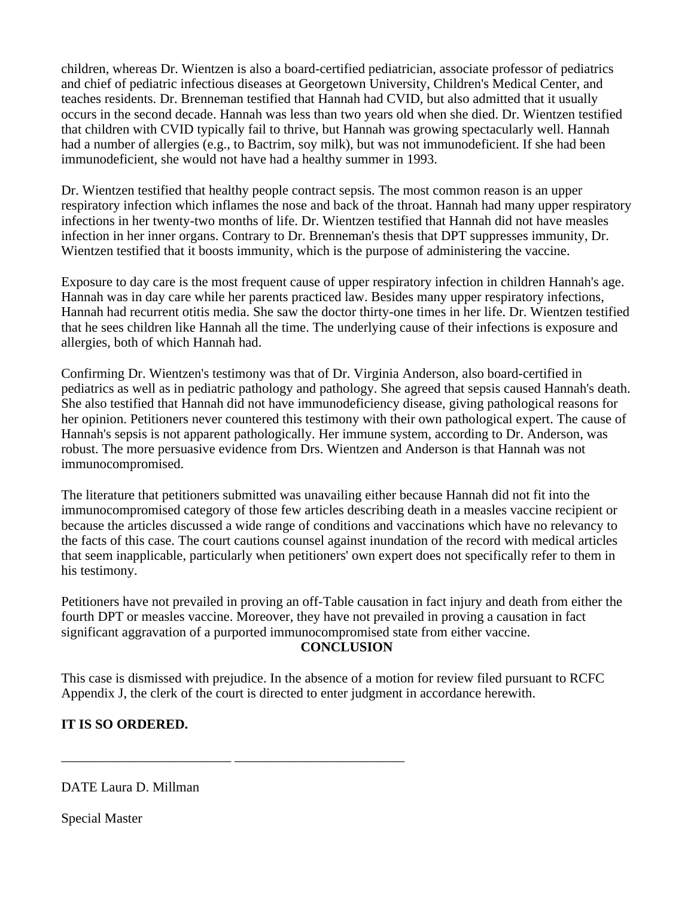children, whereas Dr. Wientzen is also a board-certified pediatrician, associate professor of pediatrics and chief of pediatric infectious diseases at Georgetown University, Children's Medical Center, and teaches residents. Dr. Brenneman testified that Hannah had CVID, but also admitted that it usually occurs in the second decade. Hannah was less than two years old when she died. Dr. Wientzen testified that children with CVID typically fail to thrive, but Hannah was growing spectacularly well. Hannah had a number of allergies (e.g., to Bactrim, soy milk), but was not immunodeficient. If she had been immunodeficient, she would not have had a healthy summer in 1993.

Dr. Wientzen testified that healthy people contract sepsis. The most common reason is an upper respiratory infection which inflames the nose and back of the throat. Hannah had many upper respiratory infections in her twenty-two months of life. Dr. Wientzen testified that Hannah did not have measles infection in her inner organs. Contrary to Dr. Brenneman's thesis that DPT suppresses immunity, Dr. Wientzen testified that it boosts immunity, which is the purpose of administering the vaccine.

Exposure to day care is the most frequent cause of upper respiratory infection in children Hannah's age. Hannah was in day care while her parents practiced law. Besides many upper respiratory infections, Hannah had recurrent otitis media. She saw the doctor thirty-one times in her life. Dr. Wientzen testified that he sees children like Hannah all the time. The underlying cause of their infections is exposure and allergies, both of which Hannah had.

Confirming Dr. Wientzen's testimony was that of Dr. Virginia Anderson, also board-certified in pediatrics as well as in pediatric pathology and pathology. She agreed that sepsis caused Hannah's death. She also testified that Hannah did not have immunodeficiency disease, giving pathological reasons for her opinion. Petitioners never countered this testimony with their own pathological expert. The cause of Hannah's sepsis is not apparent pathologically. Her immune system, according to Dr. Anderson, was robust. The more persuasive evidence from Drs. Wientzen and Anderson is that Hannah was not immunocompromised.

The literature that petitioners submitted was unavailing either because Hannah did not fit into the immunocompromised category of those few articles describing death in a measles vaccine recipient or because the articles discussed a wide range of conditions and vaccinations which have no relevancy to the facts of this case. The court cautions counsel against inundation of the record with medical articles that seem inapplicable, particularly when petitioners' own expert does not specifically refer to them in his testimony.

Petitioners have not prevailed in proving an off-Table causation in fact injury and death from either the fourth DPT or measles vaccine. Moreover, they have not prevailed in proving a causation in fact significant aggravation of a purported immunocompromised state from either vaccine. **CONCLUSION**

This case is dismissed with prejudice. In the absence of a motion for review filed pursuant to RCFC Appendix J, the clerk of the court is directed to enter judgment in accordance herewith.

# **IT IS SO ORDERED.**

DATE Laura D. Millman

\_\_\_\_\_\_\_\_\_\_\_\_\_\_\_\_\_\_\_\_\_\_\_\_\_ \_\_\_\_\_\_\_\_\_\_\_\_\_\_\_\_\_\_\_\_\_\_\_\_\_

Special Master